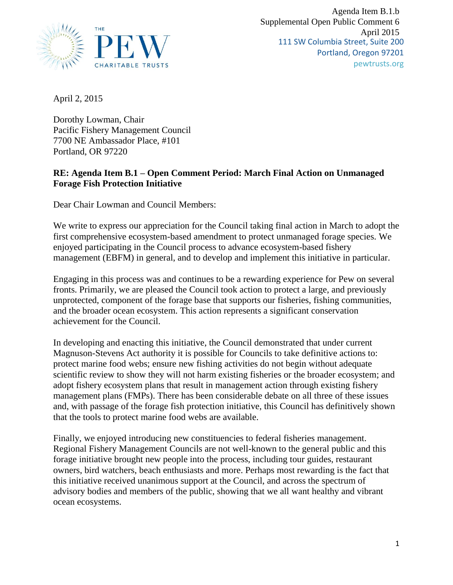

April 2, 2015

Dorothy Lowman, Chair Pacific Fishery Management Council 7700 NE Ambassador Place, #101 Portland, OR 97220

## **RE: Agenda Item B.1 – Open Comment Period: March Final Action on Unmanaged Forage Fish Protection Initiative**

Dear Chair Lowman and Council Members:

We write to express our appreciation for the Council taking final action in March to adopt the first comprehensive ecosystem-based amendment to protect unmanaged forage species. We enjoyed participating in the Council process to advance ecosystem-based fishery management (EBFM) in general, and to develop and implement this initiative in particular.

Engaging in this process was and continues to be a rewarding experience for Pew on several fronts. Primarily, we are pleased the Council took action to protect a large, and previously unprotected, component of the forage base that supports our fisheries, fishing communities, and the broader ocean ecosystem. This action represents a significant conservation achievement for the Council.

In developing and enacting this initiative, the Council demonstrated that under current Magnuson-Stevens Act authority it is possible for Councils to take definitive actions to: protect marine food webs; ensure new fishing activities do not begin without adequate scientific review to show they will not harm existing fisheries or the broader ecosystem; and adopt fishery ecosystem plans that result in management action through existing fishery management plans (FMPs). There has been considerable debate on all three of these issues and, with passage of the forage fish protection initiative, this Council has definitively shown that the tools to protect marine food webs are available.

Finally, we enjoyed introducing new constituencies to federal fisheries management. Regional Fishery Management Councils are not well-known to the general public and this forage initiative brought new people into the process, including tour guides, restaurant owners, bird watchers, beach enthusiasts and more. Perhaps most rewarding is the fact that this initiative received unanimous support at the Council, and across the spectrum of advisory bodies and members of the public, showing that we all want healthy and vibrant ocean ecosystems.